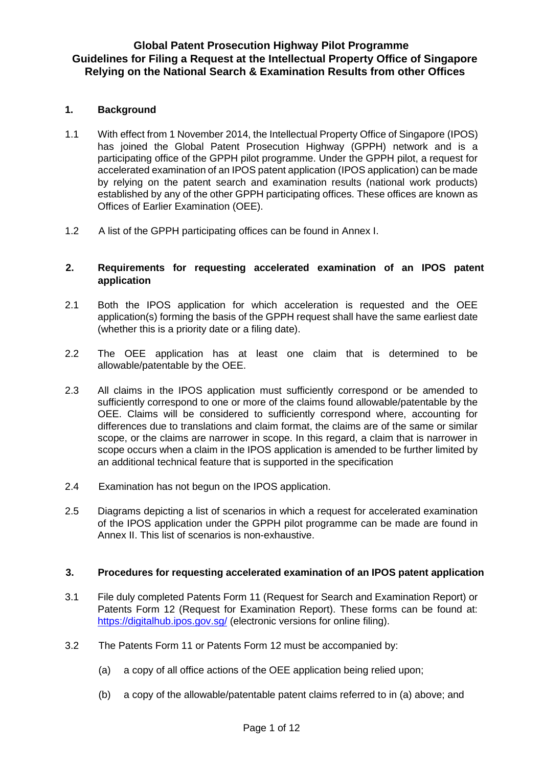#### **Global Patent Prosecution Highway Pilot Programme Guidelines for Filing a Request at the Intellectual Property Office of Singapore Relying on the National Search & Examination Results from other Offices**

#### **1. Background**

- 1.1 With effect from 1 November 2014, the Intellectual Property Office of Singapore (IPOS) has joined the Global Patent Prosecution Highway (GPPH) network and is a participating office of the GPPH pilot programme. Under the GPPH pilot, a request for accelerated examination of an IPOS patent application (IPOS application) can be made by relying on the patent search and examination results (national work products) established by any of the other GPPH participating offices. These offices are known as Offices of Earlier Examination (OEE).
- 1.2 A list of the GPPH participating offices can be found in Annex I.

#### **2. Requirements for requesting accelerated examination of an IPOS patent application**

- 2.1 Both the IPOS application for which acceleration is requested and the OEE application(s) forming the basis of the GPPH request shall have the same earliest date (whether this is a priority date or a filing date).
- 2.2 The OEE application has at least one claim that is determined to be allowable/patentable by the OEE.
- 2.3 All claims in the IPOS application must sufficiently correspond or be amended to sufficiently correspond to one or more of the claims found allowable/patentable by the OEE. Claims will be considered to sufficiently correspond where, accounting for differences due to translations and claim format, the claims are of the same or similar scope, or the claims are narrower in scope. In this regard, a claim that is narrower in scope occurs when a claim in the IPOS application is amended to be further limited by an additional technical feature that is supported in the specification
- 2.4 Examination has not begun on the IPOS application.
- 2.5 Diagrams depicting a list of scenarios in which a request for accelerated examination of the IPOS application under the GPPH pilot programme can be made are found in Annex II. This list of scenarios is non-exhaustive.

#### **3. Procedures for requesting accelerated examination of an IPOS patent application**

- 3.1 File duly completed Patents Form 11 (Request for Search and Examination Report) or Patents Form 12 (Request for Examination Report). These forms can be found at: <https://digitalhub.ipos.gov.sg/> (electronic versions for online filing).
- 3.2 The Patents Form 11 or Patents Form 12 must be accompanied by:
	- (a) a copy of all office actions of the OEE application being relied upon;
	- (b) a copy of the allowable/patentable patent claims referred to in (a) above; and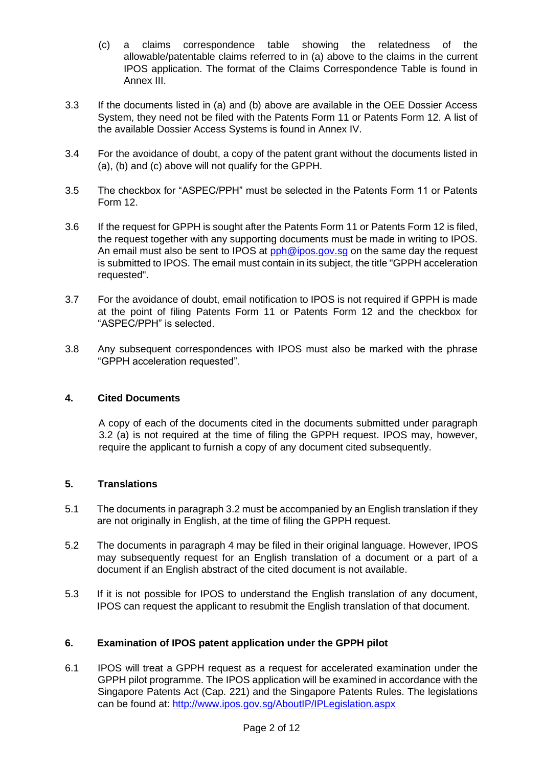- (c) a claims correspondence table showing the relatedness of the allowable/patentable claims referred to in (a) above to the claims in the current IPOS application. The format of the Claims Correspondence Table is found in Annex III.
- 3.3 If the documents listed in (a) and (b) above are available in the OEE Dossier Access System, they need not be filed with the Patents Form 11 or Patents Form 12. A list of the available Dossier Access Systems is found in Annex IV.
- 3.4 For the avoidance of doubt, a copy of the patent grant without the documents listed in (a), (b) and (c) above will not qualify for the GPPH.
- 3.5 The checkbox for "ASPEC/PPH" must be selected in the Patents Form 11 or Patents Form 12.
- 3.6 If the request for GPPH is sought after the Patents Form 11 or Patents Form 12 is filed, the request together with any supporting documents must be made in writing to IPOS. An email must also be sent to IPOS at pph@ipos.gov.sg on the same day the request is submitted to IPOS. The email must contain in its subject, the title "GPPH acceleration requested".
- 3.7 For the avoidance of doubt, email notification to IPOS is not required if GPPH is made at the point of filing Patents Form 11 or Patents Form 12 and the checkbox for "ASPEC/PPH" is selected.
- 3.8 Any subsequent correspondences with IPOS must also be marked with the phrase "GPPH acceleration requested".

#### **4. Cited Documents**

A copy of each of the documents cited in the documents submitted under paragraph 3.2 (a) is not required at the time of filing the GPPH request. IPOS may, however, require the applicant to furnish a copy of any document cited subsequently.

#### **5. Translations**

- 5.1 The documents in paragraph 3.2 must be accompanied by an English translation if they are not originally in English, at the time of filing the GPPH request.
- 5.2 The documents in paragraph 4 may be filed in their original language. However, IPOS may subsequently request for an English translation of a document or a part of a document if an English abstract of the cited document is not available.
- 5.3 If it is not possible for IPOS to understand the English translation of any document, IPOS can request the applicant to resubmit the English translation of that document.

#### **6. Examination of IPOS patent application under the GPPH pilot**

6.1 IPOS will treat a GPPH request as a request for accelerated examination under the GPPH pilot programme. The IPOS application will be examined in accordance with the Singapore Patents Act (Cap. 221) and the Singapore Patents Rules. The legislations can be found at:<http://www.ipos.gov.sg/AboutIP/IPLegislation.aspx>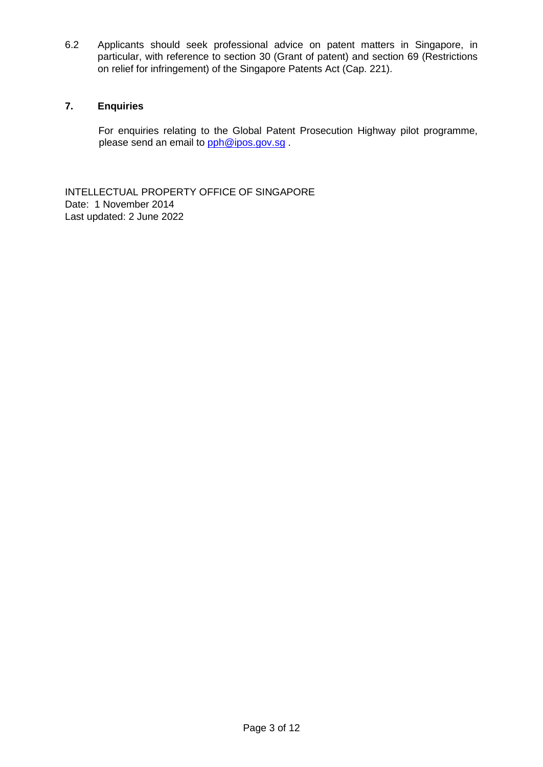6.2 Applicants should seek professional advice on patent matters in Singapore, in particular, with reference to section 30 (Grant of patent) and section 69 (Restrictions on relief for infringement) of the Singapore Patents Act (Cap. 221).

#### **7. Enquiries**

For enquiries relating to the Global Patent Prosecution Highway pilot programme, please send an email to pph@ipos.gov.sg.

INTELLECTUAL PROPERTY OFFICE OF SINGAPORE Date: 1 November 2014 Last updated: 2 June 2022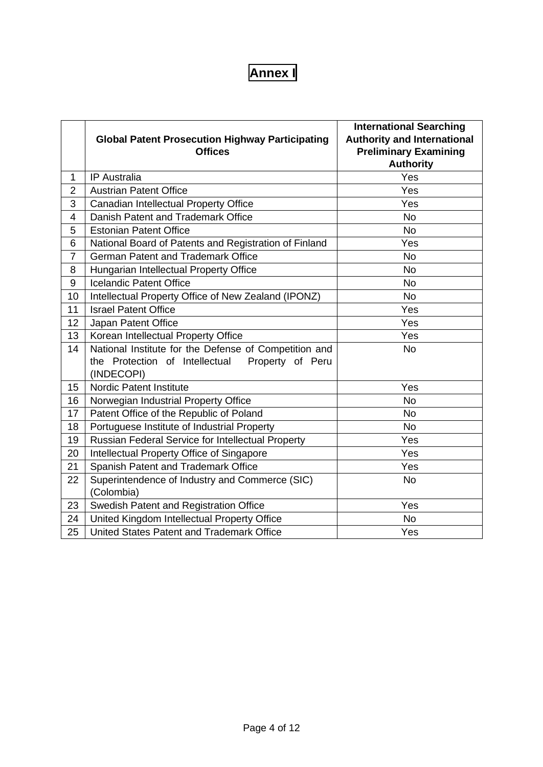## **Annex I**

|                         |                                                        | <b>International Searching</b>     |
|-------------------------|--------------------------------------------------------|------------------------------------|
|                         | <b>Global Patent Prosecution Highway Participating</b> | <b>Authority and International</b> |
|                         | <b>Offices</b>                                         | <b>Preliminary Examining</b>       |
|                         |                                                        | <b>Authority</b>                   |
| 1                       | <b>IP</b> Australia                                    | Yes                                |
| $\overline{2}$          | <b>Austrian Patent Office</b>                          | Yes                                |
| 3                       | Canadian Intellectual Property Office                  | Yes                                |
| $\overline{\mathbf{4}}$ | Danish Patent and Trademark Office                     | <b>No</b>                          |
| 5                       | <b>Estonian Patent Office</b>                          | <b>No</b>                          |
| 6                       | National Board of Patents and Registration of Finland  | Yes                                |
| $\overline{7}$          | <b>German Patent and Trademark Office</b>              | <b>No</b>                          |
| 8                       | Hungarian Intellectual Property Office                 | <b>No</b>                          |
| $9\,$                   | <b>Icelandic Patent Office</b>                         | <b>No</b>                          |
| 10                      | Intellectual Property Office of New Zealand (IPONZ)    | <b>No</b>                          |
| 11                      | Yes<br><b>Israel Patent Office</b>                     |                                    |
| 12                      | Japan Patent Office<br>Yes                             |                                    |
| 13                      | Korean Intellectual Property Office                    | Yes                                |
| 14                      | National Institute for the Defense of Competition and  | <b>No</b>                          |
|                         | the Protection of Intellectual<br>Property of Peru     |                                    |
|                         | (INDECOPI)                                             |                                    |
| 15                      | <b>Nordic Patent Institute</b>                         | Yes                                |
| 16                      | Norwegian Industrial Property Office                   | <b>No</b>                          |
| 17                      | Patent Office of the Republic of Poland                | <b>No</b>                          |
| 18                      | Portuguese Institute of Industrial Property            | <b>No</b>                          |
| 19                      | Russian Federal Service for Intellectual Property      | Yes                                |
| 20                      | Intellectual Property Office of Singapore              | Yes                                |
| 21                      | Spanish Patent and Trademark Office                    | Yes                                |
| 22                      | Superintendence of Industry and Commerce (SIC)         | <b>No</b>                          |
|                         | (Colombia)                                             |                                    |
| 23                      | Swedish Patent and Registration Office                 | Yes                                |
| 24                      | United Kingdom Intellectual Property Office            | <b>No</b>                          |
| 25                      | United States Patent and Trademark Office              | Yes                                |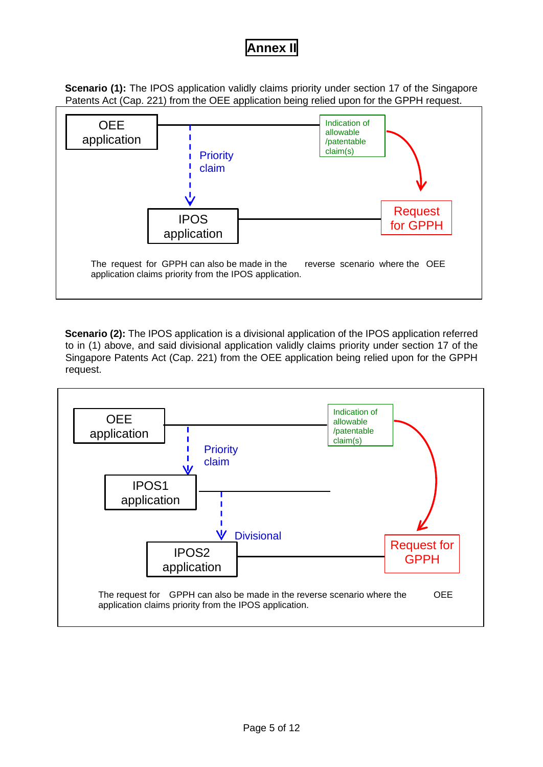### **Annex II**

**Scenario (1):** The IPOS application validly claims priority under section 17 of the Singapore Patents Act (Cap. 221) from the OEE application being relied upon for the GPPH request.



**Scenario (2):** The IPOS application is a divisional application of the IPOS application referred to in (1) above, and said divisional application validly claims priority under section 17 of the Singapore Patents Act (Cap. 221) from the OEE application being relied upon for the GPPH request.

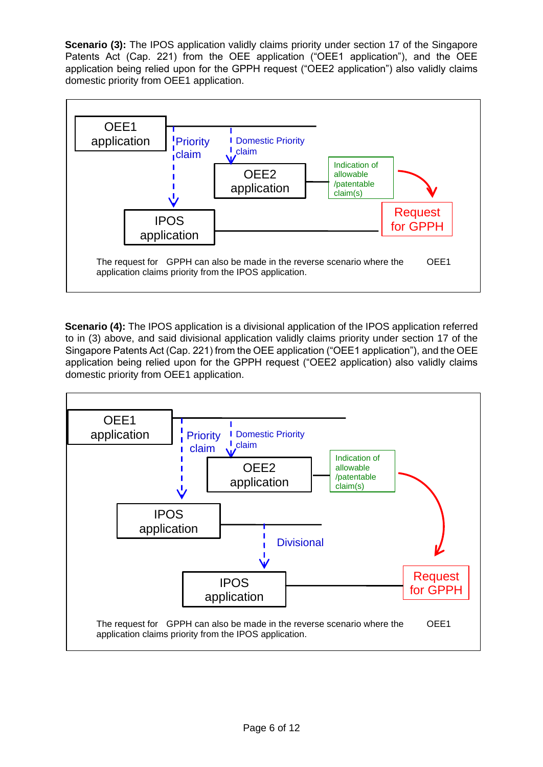**Scenario (3):** The IPOS application validly claims priority under section 17 of the Singapore Patents Act (Cap. 221) from the OEE application ("OEE1 application"), and the OEE application being relied upon for the GPPH request ("OEE2 application") also validly claims domestic priority from OEE1 application.



**Scenario (4):** The IPOS application is a divisional application of the IPOS application referred to in (3) above, and said divisional application validly claims priority under section 17 of the Singapore Patents Act (Cap. 221) from the OEE application ("OEE1 application"), and the OEE application being relied upon for the GPPH request ("OEE2 application) also validly claims domestic priority from OEE1 application.

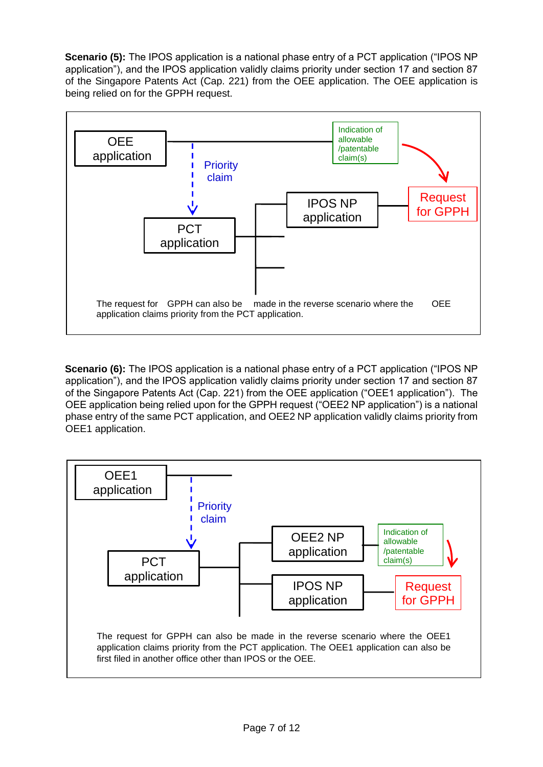**Scenario (5):** The IPOS application is a national phase entry of a PCT application ("IPOS NP application"), and the IPOS application validly claims priority under section 17 and section 87 of the Singapore Patents Act (Cap. 221) from the OEE application. The OEE application is being relied on for the GPPH request.



**Scenario (6):** The IPOS application is a national phase entry of a PCT application ("IPOS NP application"), and the IPOS application validly claims priority under section 17 and section 87 of the Singapore Patents Act (Cap. 221) from the OEE application ("OEE1 application"). The OEE application being relied upon for the GPPH request ("OEE2 NP application") is a national phase entry of the same PCT application, and OEE2 NP application validly claims priority from OEE1 application.

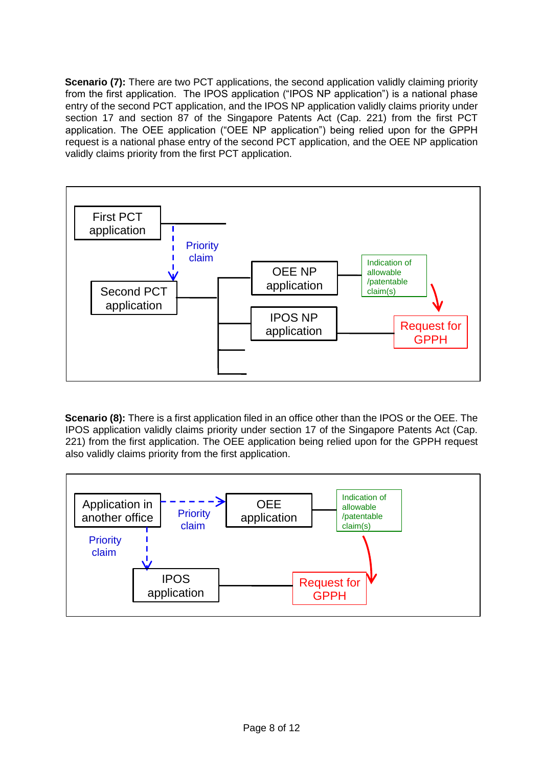**Scenario (7):** There are two PCT applications, the second application validly claiming priority from the first application. The IPOS application ("IPOS NP application") is a national phase entry of the second PCT application, and the IPOS NP application validly claims priority under section 17 and section 87 of the Singapore Patents Act (Cap. 221) from the first PCT application. The OEE application ("OEE NP application") being relied upon for the GPPH request is a national phase entry of the second PCT application, and the OEE NP application validly claims priority from the first PCT application.



**Scenario (8):** There is a first application filed in an office other than the IPOS or the OEE. The IPOS application validly claims priority under section 17 of the Singapore Patents Act (Cap. 221) from the first application. The OEE application being relied upon for the GPPH request also validly claims priority from the first application.

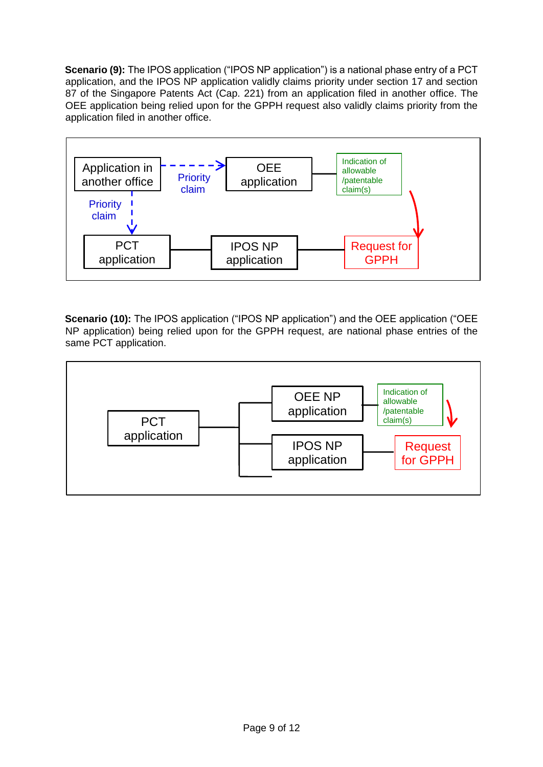**Scenario (9):** The IPOS application ("IPOS NP application") is a national phase entry of a PCT application, and the IPOS NP application validly claims priority under section 17 and section 87 of the Singapore Patents Act (Cap. 221) from an application filed in another office. The OEE application being relied upon for the GPPH request also validly claims priority from the application filed in another office.



**Scenario (10):** The IPOS application ("IPOS NP application") and the OEE application ("OEE NP application) being relied upon for the GPPH request, are national phase entries of the same PCT application.

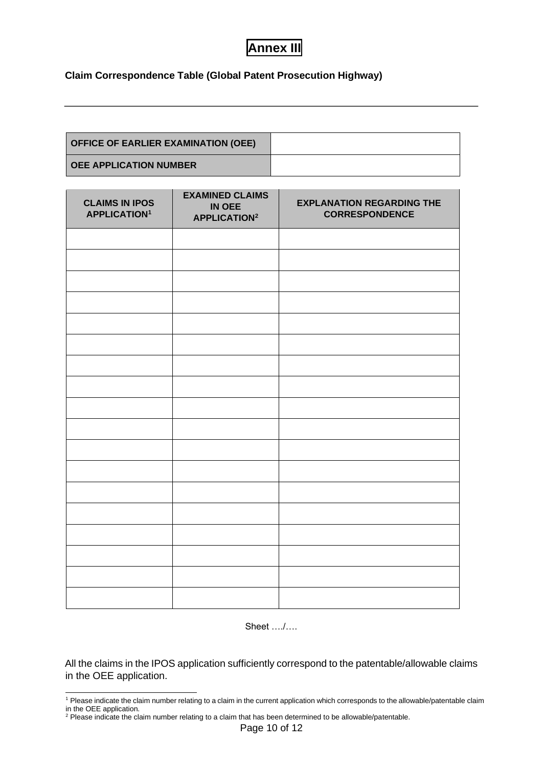## **Annex III**

#### **Claim Correspondence Table (Global Patent Prosecution Highway)**

| <b>OFFICE OF EARLIER EXAMINATION (OEE)</b> |  |
|--------------------------------------------|--|
| <b>OEE APPLICATION NUMBER</b>              |  |

| <b>CLAIMS IN IPOS</b><br><b>APPLICATION<sup>1</sup></b> | <b>EXAMINED CLAIMS</b><br><b>IN OEE</b><br><b>APPLICATION2</b> | <b>EXPLANATION REGARDING THE</b><br><b>CORRESPONDENCE</b> |
|---------------------------------------------------------|----------------------------------------------------------------|-----------------------------------------------------------|
|                                                         |                                                                |                                                           |
|                                                         |                                                                |                                                           |
|                                                         |                                                                |                                                           |
|                                                         |                                                                |                                                           |
|                                                         |                                                                |                                                           |
|                                                         |                                                                |                                                           |
|                                                         |                                                                |                                                           |
|                                                         |                                                                |                                                           |
|                                                         |                                                                |                                                           |
|                                                         |                                                                |                                                           |
|                                                         |                                                                |                                                           |
|                                                         |                                                                |                                                           |
|                                                         |                                                                |                                                           |
|                                                         |                                                                |                                                           |
|                                                         |                                                                |                                                           |
|                                                         |                                                                |                                                           |
|                                                         |                                                                |                                                           |
|                                                         |                                                                |                                                           |

Sheet …./….

All the claims in the IPOS application sufficiently correspond to the patentable/allowable claims in the OEE application.

<sup>&</sup>lt;sup>1</sup> Please indicate the claim number relating to a claim in the current application which corresponds to the allowable/patentable claim in the OEE application.

 $2$  Please indicate the claim number relating to a claim that has been determined to be allowable/patentable.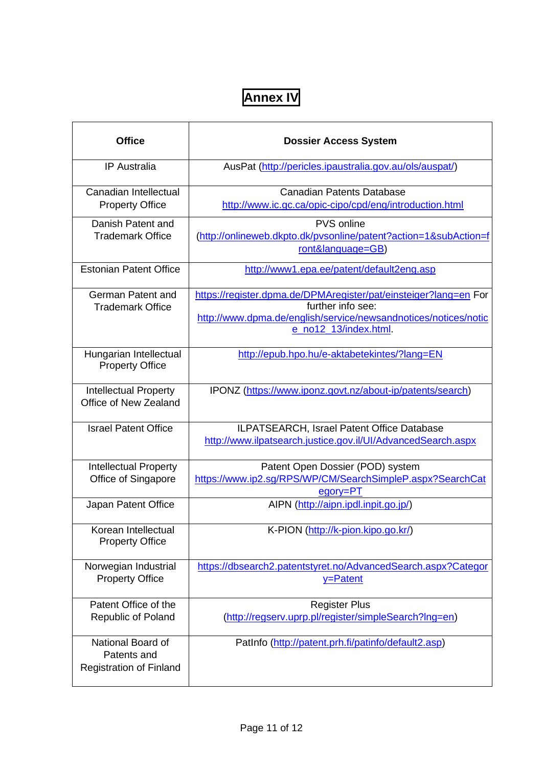# **Annex IV**

| <b>Office</b>                                                      | <b>Dossier Access System</b>                                                                                                                                                     |
|--------------------------------------------------------------------|----------------------------------------------------------------------------------------------------------------------------------------------------------------------------------|
| <b>IP</b> Australia                                                | AusPat (http://pericles.ipaustralia.gov.au/ols/auspat/)                                                                                                                          |
| Canadian Intellectual<br><b>Property Office</b>                    | <b>Canadian Patents Database</b><br>http://www.ic.gc.ca/opic-cipo/cpd/eng/introduction.html                                                                                      |
| Danish Patent and<br><b>Trademark Office</b>                       | PVS online<br>(http://onlineweb.dkpto.dk/pvsonline/patent?action=1&subAction=f<br>ront&language=GB)                                                                              |
| <b>Estonian Patent Office</b>                                      | http://www1.epa.ee/patent/default2eng.asp                                                                                                                                        |
| German Patent and<br><b>Trademark Office</b>                       | https://register.dpma.de/DPMAregister/pat/einsteiger?lang=en For<br>further info see:<br>http://www.dpma.de/english/service/newsandnotices/notices/notic<br>e_no12_13/index.html |
| Hungarian Intellectual<br><b>Property Office</b>                   | http://epub.hpo.hu/e-aktabetekintes/?lang=EN                                                                                                                                     |
| <b>Intellectual Property</b><br>Office of New Zealand              | IPONZ (https://www.iponz.govt.nz/about-ip/patents/search)                                                                                                                        |
| <b>Israel Patent Office</b>                                        | ILPATSEARCH, Israel Patent Office Database<br>http://www.ilpatsearch.justice.gov.il/UI/AdvancedSearch.aspx                                                                       |
| <b>Intellectual Property</b><br>Office of Singapore                | Patent Open Dossier (POD) system<br>https://www.ip2.sg/RPS/WP/CM/SearchSimpleP.aspx?SearchCat<br>egory=PT                                                                        |
| Japan Patent Office                                                | AIPN (http://aipn.ipdl.inpit.go.jp/)                                                                                                                                             |
| Korean Intellectual<br><b>Property Office</b>                      | K-PION (http://k-pion.kipo.go.kr/)                                                                                                                                               |
| Norwegian Industrial<br><b>Property Office</b>                     | https://dbsearch2.patentstyret.no/AdvancedSearch.aspx?Categor<br>y=Patent                                                                                                        |
| Patent Office of the<br><b>Republic of Poland</b>                  | <b>Register Plus</b><br>(http://regserv.uprp.pl/register/simpleSearch?lng=en)                                                                                                    |
| National Board of<br>Patents and<br><b>Registration of Finland</b> | PatInfo (http://patent.prh.fi/patinfo/default2.asp)                                                                                                                              |